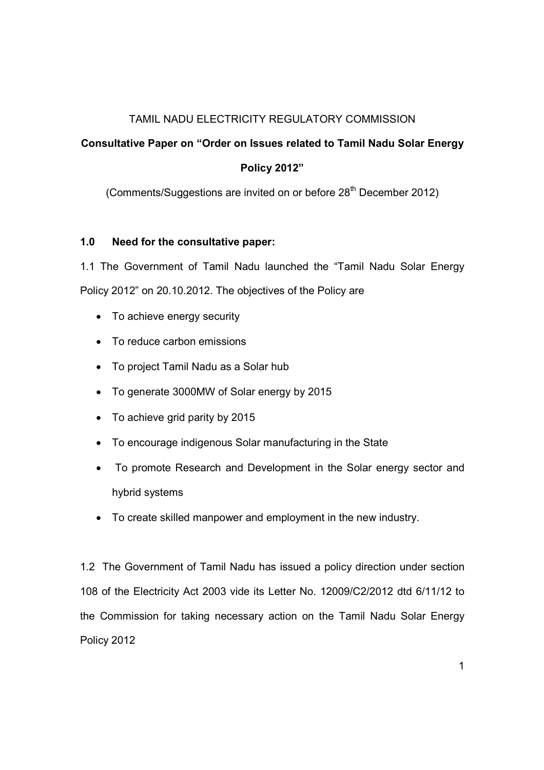## TAMIL NADU ELECTRICITY REGULATORY COMMISSION

## Consultative Paper on "Order on Issues related to Tamil Nadu Solar Energy

# Policy 2012"

(Comments/Suggestions are invited on or before  $28<sup>th</sup>$  December 2012)

## 1.0 Need for the consultative paper:

1.1 The Government of Tamil Nadu launched the "Tamil Nadu Solar Energy Policy 2012" on 20.10.2012. The objectives of the Policy are

- To achieve energy security
- To reduce carbon emissions
- To project Tamil Nadu as a Solar hub
- To generate 3000MW of Solar energy by 2015
- To achieve grid parity by 2015
- To encourage indigenous Solar manufacturing in the State
- To promote Research and Development in the Solar energy sector and hybrid systems
- To create skilled manpower and employment in the new industry.

1.2 The Government of Tamil Nadu has issued a policy direction under section 108 of the Electricity Act 2003 vide its Letter No. 12009/C2/2012 dtd 6/11/12 to the Commission for taking necessary action on the Tamil Nadu Solar Energy Policy 2012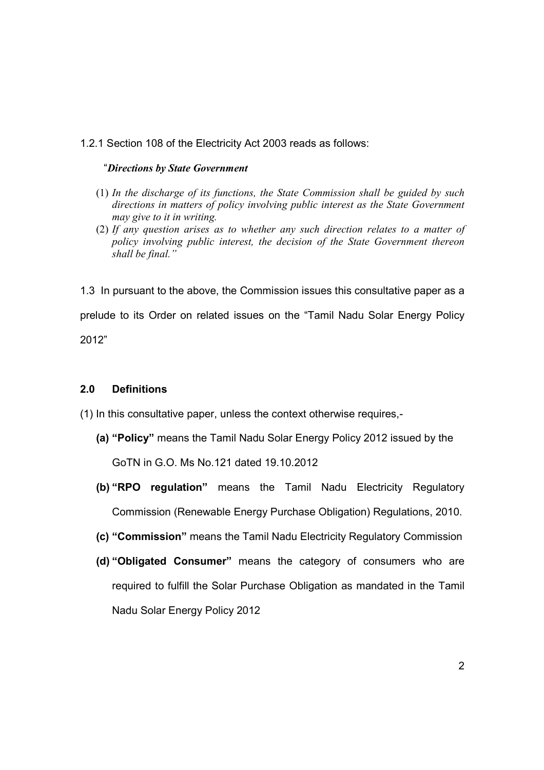## 1.2.1 Section 108 of the Electricity Act 2003 reads as follows:

#### "Directions by State Government

- (1) In the discharge of its functions, the State Commission shall be guided by such directions in matters of policy involving public interest as the State Government may give to it in writing.
- (2) If any question arises as to whether any such direction relates to a matter of policy involving public interest, the decision of the State Government thereon shall be final."

1.3 In pursuant to the above, the Commission issues this consultative paper as a prelude to its Order on related issues on the "Tamil Nadu Solar Energy Policy 2012"

### 2.0 Definitions

(1) In this consultative paper, unless the context otherwise requires,-

- (a) "Policy" means the Tamil Nadu Solar Energy Policy 2012 issued by the GoTN in G.O. Ms No.121 dated 19.10.2012
- (b) "RPO regulation" means the Tamil Nadu Electricity Regulatory Commission (Renewable Energy Purchase Obligation) Regulations, 2010.
- (c) "Commission" means the Tamil Nadu Electricity Regulatory Commission
- (d) "Obligated Consumer" means the category of consumers who are required to fulfill the Solar Purchase Obligation as mandated in the Tamil Nadu Solar Energy Policy 2012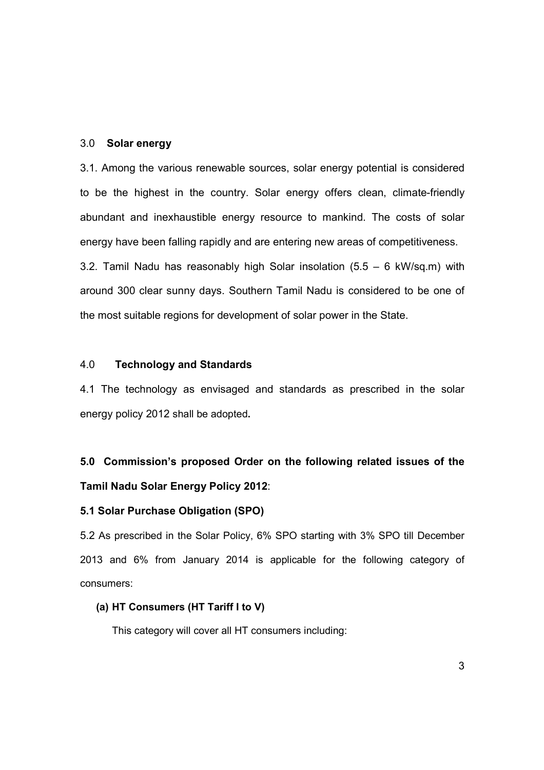### 3.0 Solar energy

3.1. Among the various renewable sources, solar energy potential is considered to be the highest in the country. Solar energy offers clean, climate-friendly abundant and inexhaustible energy resource to mankind. The costs of solar energy have been falling rapidly and are entering new areas of competitiveness. 3.2. Tamil Nadu has reasonably high Solar insolation  $(5.5 - 6 \text{ kW/sq.m})$  with around 300 clear sunny days. Southern Tamil Nadu is considered to be one of the most suitable regions for development of solar power in the State.

#### 4.0 Technology and Standards

4.1 The technology as envisaged and standards as prescribed in the solar energy policy 2012 shall be adopted.

# 5.0 Commission's proposed Order on the following related issues of the Tamil Nadu Solar Energy Policy 2012:

#### 5.1 Solar Purchase Obligation (SPO)

5.2 As prescribed in the Solar Policy, 6% SPO starting with 3% SPO till December 2013 and 6% from January 2014 is applicable for the following category of consumers:

## (a) HT Consumers (HT Tariff I to V)

This category will cover all HT consumers including: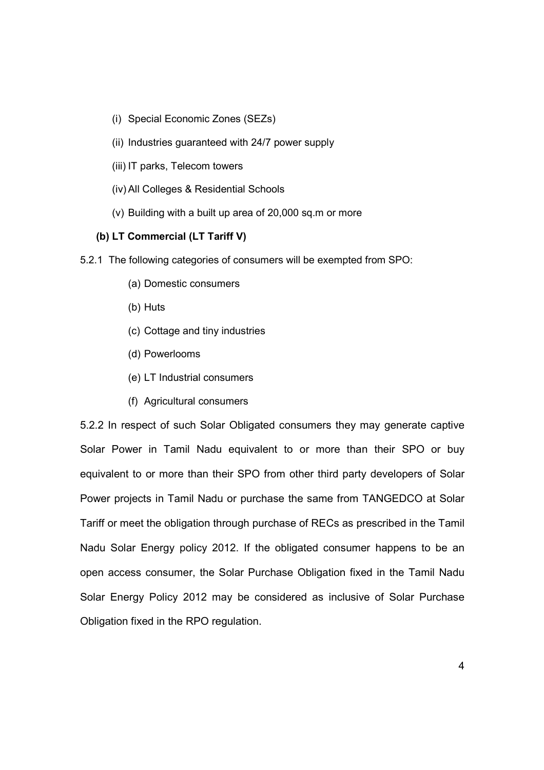- (i) Special Economic Zones (SEZs)
- (ii) Industries guaranteed with 24/7 power supply
- (iii) IT parks, Telecom towers
- (iv) All Colleges & Residential Schools
- (v) Building with a built up area of 20,000 sq.m or more

## (b) LT Commercial (LT Tariff V)

- 5.2.1 The following categories of consumers will be exempted from SPO:
	- (a) Domestic consumers
	- (b) Huts
	- (c) Cottage and tiny industries
	- (d) Powerlooms
	- (e) LT Industrial consumers
	- (f) Agricultural consumers

5.2.2 In respect of such Solar Obligated consumers they may generate captive Solar Power in Tamil Nadu equivalent to or more than their SPO or buy equivalent to or more than their SPO from other third party developers of Solar Power projects in Tamil Nadu or purchase the same from TANGEDCO at Solar Tariff or meet the obligation through purchase of RECs as prescribed in the Tamil Nadu Solar Energy policy 2012. If the obligated consumer happens to be an open access consumer, the Solar Purchase Obligation fixed in the Tamil Nadu Solar Energy Policy 2012 may be considered as inclusive of Solar Purchase Obligation fixed in the RPO regulation.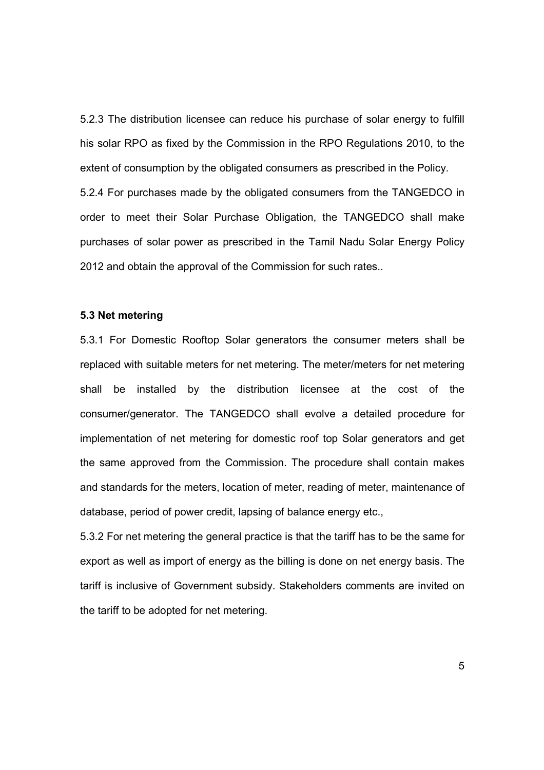5.2.3 The distribution licensee can reduce his purchase of solar energy to fulfill his solar RPO as fixed by the Commission in the RPO Regulations 2010, to the extent of consumption by the obligated consumers as prescribed in the Policy. 5.2.4 For purchases made by the obligated consumers from the TANGEDCO in order to meet their Solar Purchase Obligation, the TANGEDCO shall make purchases of solar power as prescribed in the Tamil Nadu Solar Energy Policy 2012 and obtain the approval of the Commission for such rates..

#### 5.3 Net metering

5.3.1 For Domestic Rooftop Solar generators the consumer meters shall be replaced with suitable meters for net metering. The meter/meters for net metering shall be installed by the distribution licensee at the cost of the consumer/generator. The TANGEDCO shall evolve a detailed procedure for implementation of net metering for domestic roof top Solar generators and get the same approved from the Commission. The procedure shall contain makes and standards for the meters, location of meter, reading of meter, maintenance of database, period of power credit, lapsing of balance energy etc.,

5.3.2 For net metering the general practice is that the tariff has to be the same for export as well as import of energy as the billing is done on net energy basis. The tariff is inclusive of Government subsidy. Stakeholders comments are invited on the tariff to be adopted for net metering.

5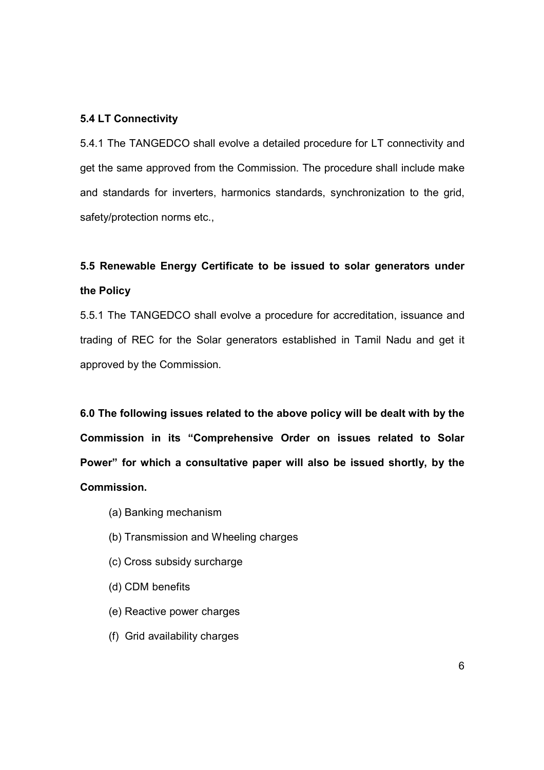#### 5.4 LT Connectivity

5.4.1 The TANGEDCO shall evolve a detailed procedure for LT connectivity and get the same approved from the Commission. The procedure shall include make and standards for inverters, harmonics standards, synchronization to the grid, safety/protection norms etc.,

# 5.5 Renewable Energy Certificate to be issued to solar generators under the Policy

5.5.1 The TANGEDCO shall evolve a procedure for accreditation, issuance and trading of REC for the Solar generators established in Tamil Nadu and get it approved by the Commission.

6.0 The following issues related to the above policy will be dealt with by the Commission in its "Comprehensive Order on issues related to Solar Power" for which a consultative paper will also be issued shortly, by the Commission.

- (a) Banking mechanism
- (b) Transmission and Wheeling charges
- (c) Cross subsidy surcharge
- (d) CDM benefits
- (e) Reactive power charges
- (f) Grid availability charges